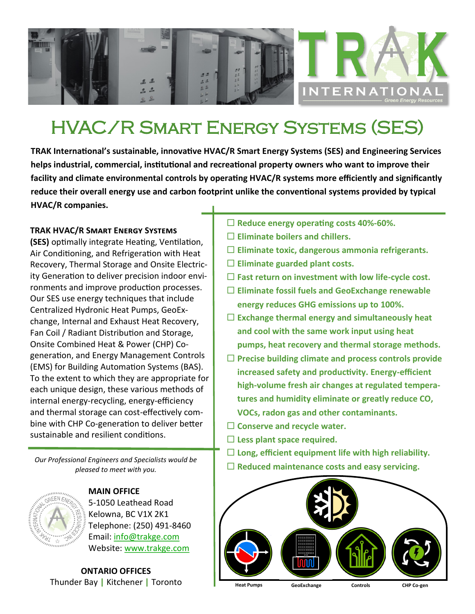

## HVAC/R Smart Energy Systems (SES)

**TRAK International's sustainable, innovative HVAC/R Smart Energy Systems (SES) and Engineering Services helps industrial, commercial, institutional and recreational property owners who want to improve their facility and climate environmental controls by operating HVAC/R systems more efficiently and significantly reduce their overall energy use and carbon footprint unlike the conventional systems provided by typical HVAC/R companies.**

## **TRAK HVAC/R Smart Energy Systems**

**(SES)** optimally integrate Heating, Ventilation, Air Conditioning, and Refrigeration with Heat Recovery, Thermal Storage and Onsite Electricity Generation to deliver precision indoor environments and improve production processes. Our SES use energy techniques that include Centralized Hydronic Heat Pumps, GeoExchange, Internal and Exhaust Heat Recovery, Fan Coil / Radiant Distribution and Storage, Onsite Combined Heat & Power (CHP) Cogeneration, and Energy Management Controls (EMS) for Building Automation Systems (BAS). To the extent to which they are appropriate for each unique design, these various methods of internal energy-recycling, energy-efficiency and thermal storage can cost-effectively combine with CHP Co-generation to deliver better sustainable and resilient conditions.

*Our Professional Engineers and Specialists would be pleased to meet with you.*



**MAIN OFFICE** 5-1050 Leathead Road Kelowna, BC V1X 2K1 Telephone: (250) 491-8460 Email: [info@trakge.com](mailto:info@trakge.com) Website: [www.trakge.com](http://www.trakge.com/)

**ONTARIO OFFICES** Thunder Bay **|** Kitchener **|** Toronto

- **Reduce energy operating costs 40%-60%.**
- **Eliminate boilers and chillers.**
- **Eliminate toxic, dangerous ammonia refrigerants.**
- **Eliminate guarded plant costs.**
- **Fast return on investment with low life-cycle cost.**
- **Eliminate fossil fuels and GeoExchange renewable energy reduces GHG emissions up to 100%.**
- **Exchange thermal energy and simultaneously heat and cool with the same work input using heat pumps, heat recovery and thermal storage methods.**
- **Precise building climate and process controls provide increased safety and productivity. Energy-efficient high-volume fresh air changes at regulated temperatures and humidity eliminate or greatly reduce CO, VOCs, radon gas and other contaminants.**
- **Conserve and recycle water.**
- **Less plant space required.**
- **Long, efficient equipment life with high reliability.**
- **Reduced maintenance costs and easy servicing.**